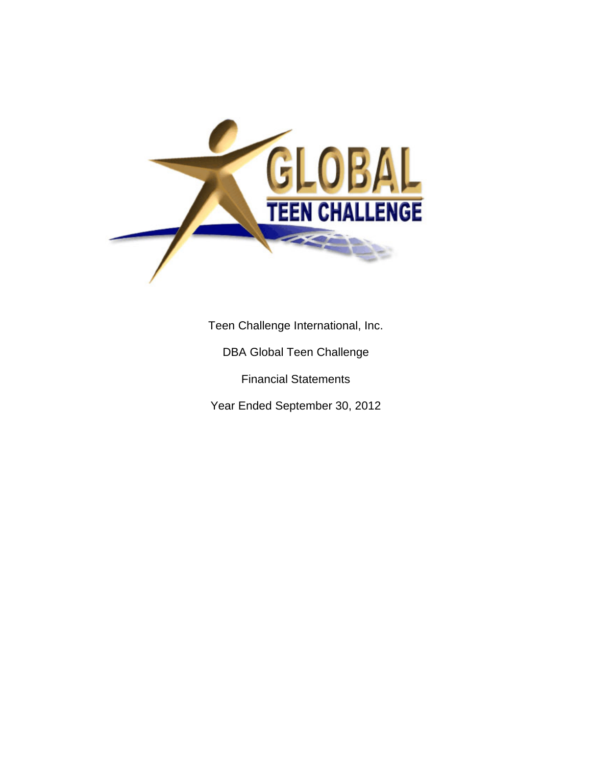

Teen Challenge International, Inc.

DBA Global Teen Challenge

Financial Statements

Year Ended September 30, 2012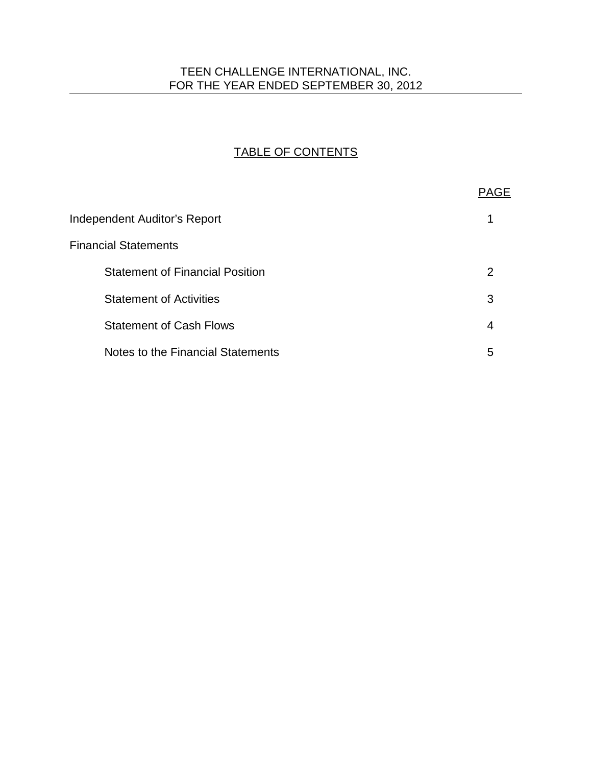# TEEN CHALLENGE INTERNATIONAL, INC. FOR THE YEAR ENDED SEPTEMBER 30, 2012

# TABLE OF CONTENTS

|                                        | <b>PAGE</b> |
|----------------------------------------|-------------|
| <b>Independent Auditor's Report</b>    |             |
| <b>Financial Statements</b>            |             |
| <b>Statement of Financial Position</b> | 2           |
| <b>Statement of Activities</b>         | 3           |
| <b>Statement of Cash Flows</b>         | 4           |
| Notes to the Financial Statements      | 5           |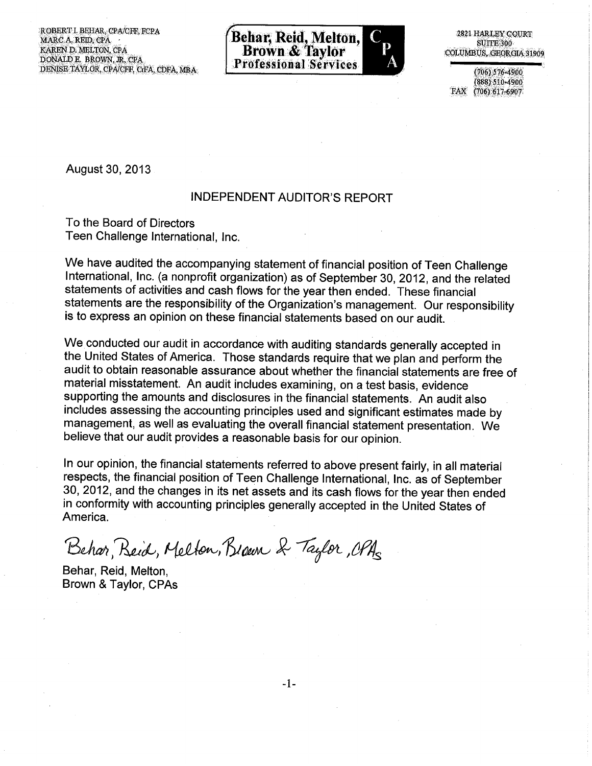ROBERT I. BEHAR, CPA/CFF, FCPA MARC A, REID, CPA KAREN D. MELTON, CPA DONALD E. BROWN, JR, CPA DENISE TAYLOR, CPA/CFF, CrFA, CDFA, MBA.



2821 HARLEY COURT **SUITE 300** COLUMBUS, GEORGIA 31909

 $(706) 576 - 4900$ 888) 510-4900 FAX (706) 617-6907

August 30, 2013

#### **INDEPENDENT AUDITOR'S REPORT**

To the Board of Directors Teen Challenge International, Inc.

We have audited the accompanying statement of financial position of Teen Challenge International, Inc. (a nonprofit organization) as of September 30, 2012, and the related statements of activities and cash flows for the year then ended. These financial statements are the responsibility of the Organization's management. Our responsibility is to express an opinion on these financial statements based on our audit.

We conducted our audit in accordance with auditing standards generally accepted in the United States of America. Those standards require that we plan and perform the audit to obtain reasonable assurance about whether the financial statements are free of material misstatement. An audit includes examining, on a test basis, evidence supporting the amounts and disclosures in the financial statements. An audit also includes assessing the accounting principles used and significant estimates made by management, as well as evaluating the overall financial statement presentation. We believe that our audit provides a reasonable basis for our opinion.

In our opinion, the financial statements referred to above present fairly, in all material respects, the financial position of Teen Challenge International, Inc. as of September 30, 2012, and the changes in its net assets and its cash flows for the year then ended in conformity with accounting principles generally accepted in the United States of America.

Behar, Reid, Melton, Brown & Taylor, OPAs

Behar, Reid, Melton, Brown & Taylor, CPAs

 $-1-$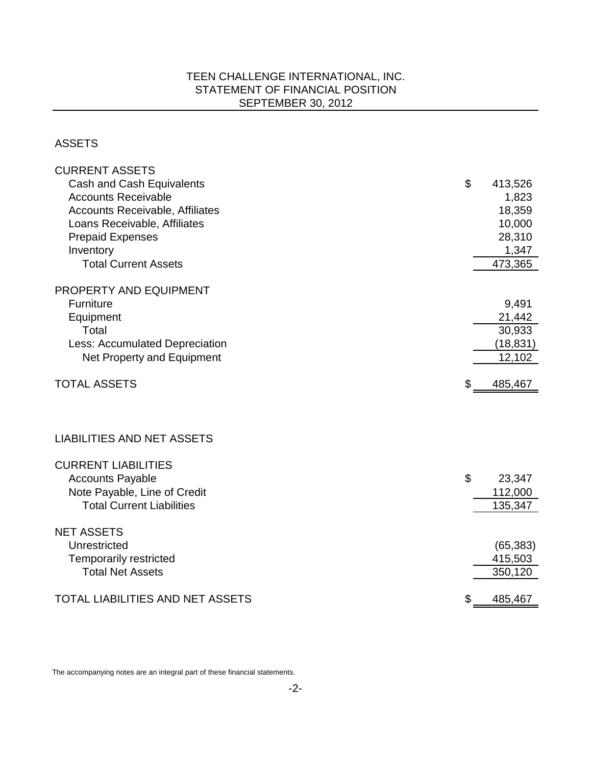# TEEN CHALLENGE INTERNATIONAL, INC. STATEMENT OF FINANCIAL POSITION SEPTEMBER 30, 2012

### ASSETS

| <b>CURRENT ASSETS</b>                   |               |
|-----------------------------------------|---------------|
| <b>Cash and Cash Equivalents</b>        | \$<br>413,526 |
| <b>Accounts Receivable</b>              | 1,823         |
| <b>Accounts Receivable, Affiliates</b>  | 18,359        |
| Loans Receivable, Affiliates            | 10,000        |
| <b>Prepaid Expenses</b>                 | 28,310        |
| Inventory                               | 1,347         |
| <b>Total Current Assets</b>             | 473,365       |
| PROPERTY AND EQUIPMENT                  |               |
| <b>Furniture</b>                        | 9,491         |
| Equipment                               | 21,442        |
| Total                                   | 30,933        |
| <b>Less: Accumulated Depreciation</b>   | (18, 831)     |
| Net Property and Equipment              | 12,102        |
| <b>TOTAL ASSETS</b>                     | \$<br>485,467 |
| <b>LIABILITIES AND NET ASSETS</b>       |               |
|                                         |               |
| <b>CURRENT LIABILITIES</b>              |               |
| <b>Accounts Payable</b>                 | \$<br>23,347  |
| Note Payable, Line of Credit            | 112,000       |
| <b>Total Current Liabilities</b>        | 135,347       |
| <b>NET ASSETS</b>                       |               |
| Unrestricted                            | (65, 383)     |
| <b>Temporarily restricted</b>           | 415,503       |
| <b>Total Net Assets</b>                 | 350,120       |
| <b>TOTAL LIABILITIES AND NET ASSETS</b> | \$<br>485,467 |

The accompanying notes are an integral part of these financial statements.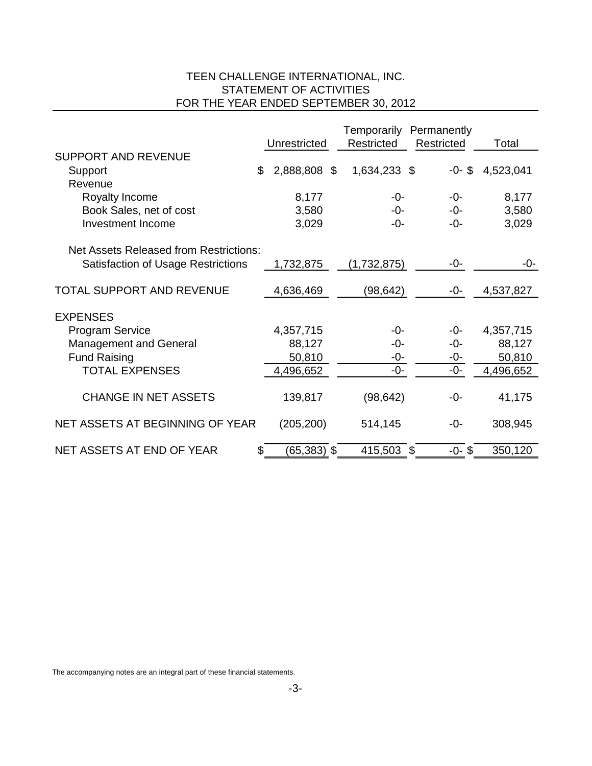# TEEN CHALLENGE INTERNATIONAL, INC. STATEMENT OF ACTIVITIES FOR THE YEAR ENDED SEPTEMBER 30, 2012

|                                               |                     | Temporarily Permanently |            |           |
|-----------------------------------------------|---------------------|-------------------------|------------|-----------|
|                                               | Unrestricted        | Restricted              | Restricted | Total     |
| <b>SUPPORT AND REVENUE</b>                    |                     |                         |            |           |
| Support                                       | \$<br>2,888,808 \$  | 1,634,233 \$            | $-0 - $$   | 4,523,041 |
| Revenue                                       |                     |                         |            |           |
| Royalty Income                                | 8,177               | -0-                     | -0-        | 8,177     |
| Book Sales, net of cost                       | 3,580               | -0-                     | -0-        | 3,580     |
| <b>Investment Income</b>                      | 3,029               | -0-                     | -0-        | 3,029     |
|                                               |                     |                         |            |           |
| <b>Net Assets Released from Restrictions:</b> |                     |                         |            |           |
| <b>Satisfaction of Usage Restrictions</b>     | 1,732,875           | (1,732,875)             | -0-        | -0-       |
| <b>TOTAL SUPPORT AND REVENUE</b>              |                     | (98, 642)               | -0-        | 4,537,827 |
|                                               | 4,636,469           |                         |            |           |
| <b>EXPENSES</b>                               |                     |                         |            |           |
| <b>Program Service</b>                        | 4,357,715           | -0-                     | -0-        | 4,357,715 |
| <b>Management and General</b>                 | 88,127              | -0-                     | -0-        | 88,127    |
| <b>Fund Raising</b>                           | 50,810              | -0-                     | -0-        | 50,810    |
| <b>TOTAL EXPENSES</b>                         | 4,496,652           | -0-                     | $-0-$      | 4,496,652 |
|                                               |                     |                         |            |           |
| <b>CHANGE IN NET ASSETS</b>                   | 139,817             | (98, 642)               | -0-        | 41,175    |
|                                               |                     |                         |            |           |
| NET ASSETS AT BEGINNING OF YEAR               | (205, 200)          | 514,145                 | -0-        | 308,945   |
| NET ASSETS AT END OF YEAR                     | \$<br>$(65,383)$ \$ | 415,503 \$              | $-0 - $$   | 350,120   |
|                                               |                     |                         |            |           |

The accompanying notes are an integral part of these financial statements.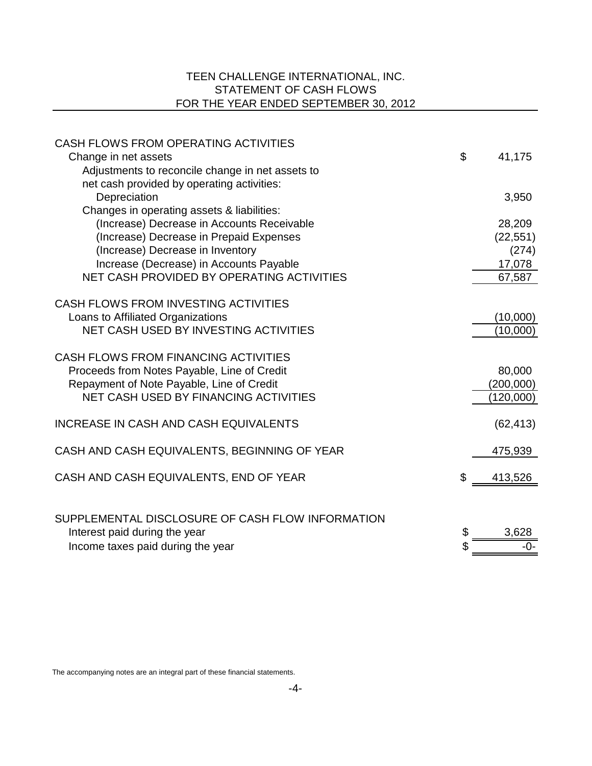# TEEN CHALLENGE INTERNATIONAL, INC. STATEMENT OF CASH FLOWS FOR THE YEAR ENDED SEPTEMBER 30, 2012

| CASH FLOWS FROM OPERATING ACTIVITIES                                     | \$ |           |
|--------------------------------------------------------------------------|----|-----------|
| Change in net assets<br>Adjustments to reconcile change in net assets to |    | 41,175    |
| net cash provided by operating activities:                               |    |           |
| Depreciation                                                             |    | 3,950     |
| Changes in operating assets & liabilities:                               |    |           |
| (Increase) Decrease in Accounts Receivable                               |    | 28,209    |
| (Increase) Decrease in Prepaid Expenses                                  |    | (22, 551) |
| (Increase) Decrease in Inventory                                         |    | (274)     |
| Increase (Decrease) in Accounts Payable                                  |    | 17,078    |
| NET CASH PROVIDED BY OPERATING ACTIVITIES                                |    | 67,587    |
|                                                                          |    |           |
| CASH FLOWS FROM INVESTING ACTIVITIES                                     |    |           |
| Loans to Affiliated Organizations                                        |    | (10,000)  |
| NET CASH USED BY INVESTING ACTIVITIES                                    |    | (10,000)  |
|                                                                          |    |           |
| CASH FLOWS FROM FINANCING ACTIVITIES                                     |    |           |
| Proceeds from Notes Payable, Line of Credit                              |    | 80,000    |
| Repayment of Note Payable, Line of Credit                                |    | (200,000) |
| NET CASH USED BY FINANCING ACTIVITIES                                    |    | (120,000) |
| INCREASE IN CASH AND CASH EQUIVALENTS                                    |    | (62, 413) |
|                                                                          |    |           |
| CASH AND CASH EQUIVALENTS, BEGINNING OF YEAR                             |    | 475,939   |
|                                                                          |    |           |
| CASH AND CASH EQUIVALENTS, END OF YEAR                                   | Ж, | 413,526   |
|                                                                          |    |           |
| SUPPLEMENTAL DISCLOSURE OF CASH FLOW INFORMATION                         |    |           |
| Interest paid during the year                                            | \$ | 3,628     |
|                                                                          |    | -0-       |
| Income taxes paid during the year                                        |    |           |

The accompanying notes are an integral part of these financial statements.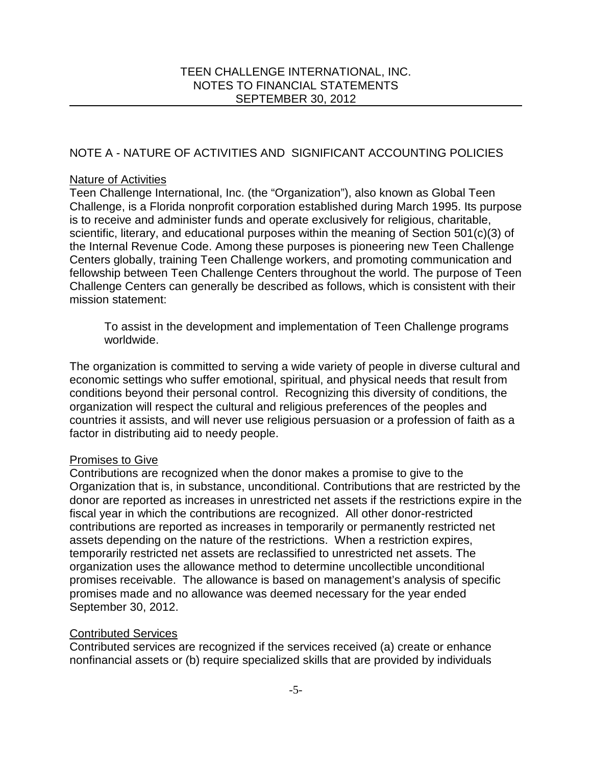# NOTE A - NATURE OF ACTIVITIES AND SIGNIFICANT ACCOUNTING POLICIES

### Nature of Activities

Teen Challenge International, Inc. (the "Organization"), also known as Global Teen Challenge, is a Florida nonprofit corporation established during March 1995. Its purpose is to receive and administer funds and operate exclusively for religious, charitable, scientific, literary, and educational purposes within the meaning of Section 501(c)(3) of the Internal Revenue Code. Among these purposes is pioneering new Teen Challenge Centers globally, training Teen Challenge workers, and promoting communication and fellowship between Teen Challenge Centers throughout the world. The purpose of Teen Challenge Centers can generally be described as follows, which is consistent with their mission statement:

To assist in the development and implementation of Teen Challenge programs worldwide.

The organization is committed to serving a wide variety of people in diverse cultural and economic settings who suffer emotional, spiritual, and physical needs that result from conditions beyond their personal control. Recognizing this diversity of conditions, the organization will respect the cultural and religious preferences of the peoples and countries it assists, and will never use religious persuasion or a profession of faith as a factor in distributing aid to needy people.

# Promises to Give

Contributions are recognized when the donor makes a promise to give to the Organization that is, in substance, unconditional. Contributions that are restricted by the donor are reported as increases in unrestricted net assets if the restrictions expire in the fiscal year in which the contributions are recognized. All other donor-restricted contributions are reported as increases in temporarily or permanently restricted net assets depending on the nature of the restrictions. When a restriction expires, temporarily restricted net assets are reclassified to unrestricted net assets. The organization uses the allowance method to determine uncollectible unconditional promises receivable. The allowance is based on management's analysis of specific promises made and no allowance was deemed necessary for the year ended September 30, 2012.

# Contributed Services

Contributed services are recognized if the services received (a) create or enhance nonfinancial assets or (b) require specialized skills that are provided by individuals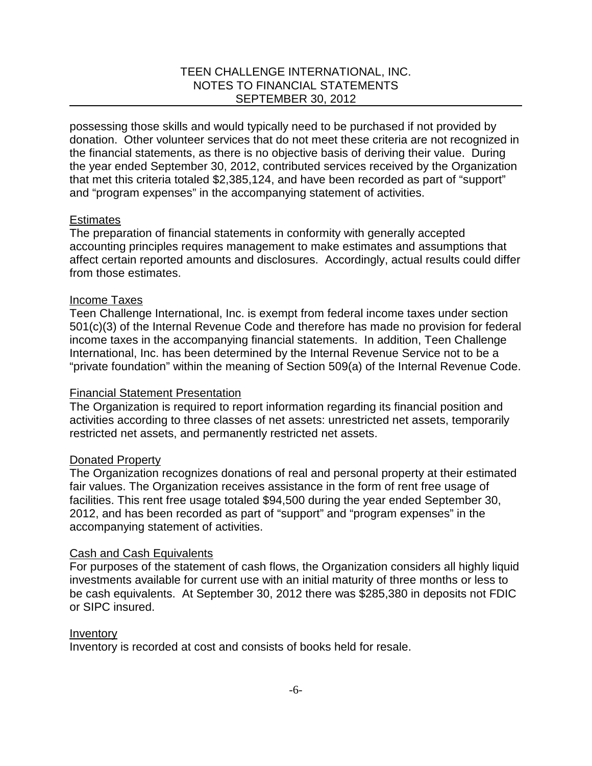possessing those skills and would typically need to be purchased if not provided by donation. Other volunteer services that do not meet these criteria are not recognized in the financial statements, as there is no objective basis of deriving their value. During the year ended September 30, 2012, contributed services received by the Organization that met this criteria totaled \$2,385,124, and have been recorded as part of "support" and "program expenses" in the accompanying statement of activities.

### **Estimates**

The preparation of financial statements in conformity with generally accepted accounting principles requires management to make estimates and assumptions that affect certain reported amounts and disclosures. Accordingly, actual results could differ from those estimates.

### Income Taxes

Teen Challenge International, Inc. is exempt from federal income taxes under section 501(c)(3) of the Internal Revenue Code and therefore has made no provision for federal income taxes in the accompanying financial statements. In addition, Teen Challenge International, Inc. has been determined by the Internal Revenue Service not to be a "private foundation" within the meaning of Section 509(a) of the Internal Revenue Code.

#### Financial Statement Presentation

The Organization is required to report information regarding its financial position and activities according to three classes of net assets: unrestricted net assets, temporarily restricted net assets, and permanently restricted net assets.

#### Donated Property

The Organization recognizes donations of real and personal property at their estimated fair values. The Organization receives assistance in the form of rent free usage of facilities. This rent free usage totaled \$94,500 during the year ended September 30, 2012, and has been recorded as part of "support" and "program expenses" in the accompanying statement of activities.

#### Cash and Cash Equivalents

For purposes of the statement of cash flows, the Organization considers all highly liquid investments available for current use with an initial maturity of three months or less to be cash equivalents. At September 30, 2012 there was \$285,380 in deposits not FDIC or SIPC insured.

#### Inventory

Inventory is recorded at cost and consists of books held for resale.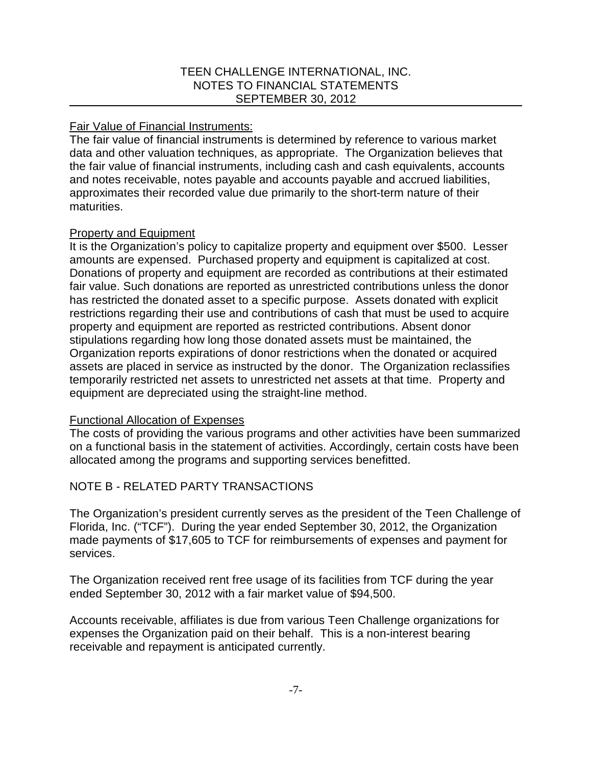### Fair Value of Financial Instruments:

The fair value of financial instruments is determined by reference to various market data and other valuation techniques, as appropriate. The Organization believes that the fair value of financial instruments, including cash and cash equivalents, accounts and notes receivable, notes payable and accounts payable and accrued liabilities, approximates their recorded value due primarily to the short-term nature of their maturities.

# Property and Equipment

It is the Organization's policy to capitalize property and equipment over \$500. Lesser amounts are expensed. Purchased property and equipment is capitalized at cost. Donations of property and equipment are recorded as contributions at their estimated fair value. Such donations are reported as unrestricted contributions unless the donor has restricted the donated asset to a specific purpose. Assets donated with explicit restrictions regarding their use and contributions of cash that must be used to acquire property and equipment are reported as restricted contributions. Absent donor stipulations regarding how long those donated assets must be maintained, the Organization reports expirations of donor restrictions when the donated or acquired assets are placed in service as instructed by the donor. The Organization reclassifies temporarily restricted net assets to unrestricted net assets at that time. Property and equipment are depreciated using the straight-line method.

# Functional Allocation of Expenses

The costs of providing the various programs and other activities have been summarized on a functional basis in the statement of activities. Accordingly, certain costs have been allocated among the programs and supporting services benefitted.

# NOTE B - RELATED PARTY TRANSACTIONS

The Organization's president currently serves as the president of the Teen Challenge of Florida, Inc. ("TCF"). During the year ended September 30, 2012, the Organization made payments of \$17,605 to TCF for reimbursements of expenses and payment for services.

The Organization received rent free usage of its facilities from TCF during the year ended September 30, 2012 with a fair market value of \$94,500.

Accounts receivable, affiliates is due from various Teen Challenge organizations for expenses the Organization paid on their behalf. This is a non-interest bearing receivable and repayment is anticipated currently.